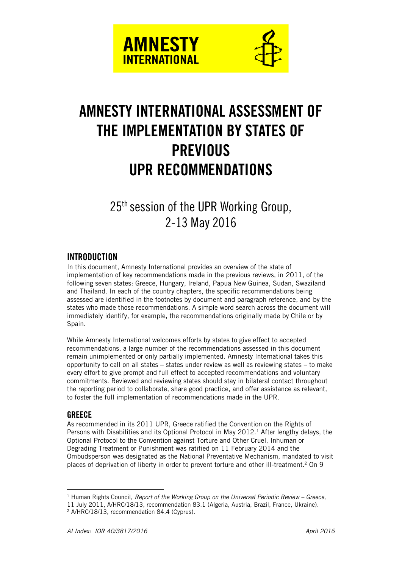



# **AMNESTY INTERNATIONAL ASSESSMENT OF THE IMPLEMENTATION BY STATES OF PREVIOUS UPR RECOMMENDATIONS**

25<sup>th</sup> session of the UPR Working Group, 2-13 May 2016

# **INTRODUCTION**

In this document, Amnesty International provides an overview of the state of implementation of key recommendations made in the previous reviews, in 2011, of the following seven states: Greece, Hungary, Ireland, Papua New Guinea, Sudan, Swaziland and Thailand. In each of the country chapters, the specific recommendations being assessed are identified in the footnotes by document and paragraph reference, and by the states who made those recommendations. A simple word search across the document will immediately identify, for example, the recommendations originally made by Chile or by Spain.

While Amnesty International welcomes efforts by states to give effect to accepted recommendations, a large number of the recommendations assessed in this document remain unimplemented or only partially implemented. Amnesty International takes this opportunity to call on all states – states under review as well as reviewing states – to make every effort to give prompt and full effect to accepted recommendations and voluntary commitments. Reviewed and reviewing states should stay in bilateral contact throughout the reporting period to collaborate, share good practice, and offer assistance as relevant, to foster the full implementation of recommendations made in the UPR.

#### **GREECE**

 $\overline{a}$ 

As recommended in its 2011 UPR, Greece ratified the Convention on the Rights of Persons with Disabilities and its Optional Protocol in May 2012.<sup>1</sup> After lengthy delays, the Optional Protocol to the Convention against Torture and Other Cruel, Inhuman or Degrading Treatment or Punishment was ratified on 11 February 2014 and the Ombudsperson was designated as the National Preventative Mechanism, mandated to visit places of deprivation of liberty in order to prevent torture and other ill-treatment.<sup>2</sup> On 9

<sup>&</sup>lt;sup>1</sup> Human Rights Council, *Report of the Working Group on the Universal Periodic Review – Greece,* 

<sup>11</sup> July 2011, A/HRC/18/13, recommendation 83.1 (Algeria, Austria, Brazil, France, Ukraine).

<sup>2</sup> A/HRC/18/13, recommendation 84.4 (Cyprus).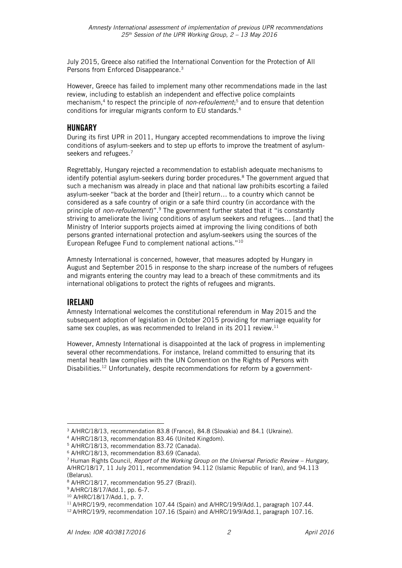July 2015, Greece also ratified the International Convention for the Protection of All Persons from Enforced Disappearance.<sup>3</sup>

However, Greece has failed to implement many other recommendations made in the last review, including to establish an independent and effective police complaints mechanism,<sup>4</sup> to respect the principle of *non-refoulement*; <sup>5</sup> and to ensure that detention conditions for irregular migrants conform to EU standards.<sup>6</sup>

#### **HUNGARY**

During its first UPR in 2011, Hungary accepted recommendations to improve the living conditions of asylum-seekers and to step up efforts to improve the treatment of asylumseekers and refugees.<sup>7</sup>

Regrettably, Hungary rejected a recommendation to establish adequate mechanisms to identify potential asylum-seekers during border procedures.<sup>8</sup> The government argued that such a mechanism was already in place and that national law prohibits escorting a failed asylum-seeker "back at the border and [their] return… to a country which cannot be considered as a safe country of origin or a safe third country (in accordance with the principle of *non-refoulement*)".<sup>9</sup> The government further stated that it "is constantly striving to ameliorate the living conditions of asylum seekers and refugees… [and that] the Ministry of Interior supports projects aimed at improving the living conditions of both persons granted international protection and asylum-seekers using the sources of the European Refugee Fund to complement national actions."<sup>10</sup>

Amnesty International is concerned, however, that measures adopted by Hungary in August and September 2015 in response to the sharp increase of the numbers of refugees and migrants entering the country may lead to a breach of these commitments and its international obligations to protect the rights of refugees and migrants.

#### **IRELAND**

Amnesty International welcomes the constitutional referendum in May 2015 and the subsequent adoption of legislation in October 2015 providing for marriage equality for same sex couples, as was recommended to Ireland in its 2011 review. $^{11}$ 

However, Amnesty International is disappointed at the lack of progress in implementing several other recommendations. For instance, Ireland committed to ensuring that its mental health law complies with the UN Convention on the Rights of Persons with Disabilities.<sup>12</sup> Unfortunately, despite recommendations for reform by a government-

 $\overline{a}$ <sup>3</sup> A/HRC/18/13, recommendation 83.8 (France), 84.8 (Slovakia) and 84.1 (Ukraine).

<sup>4</sup> A/HRC/18/13, recommendation 83.46 (United Kingdom).

<sup>5</sup> A/HRC/18/13, recommendation 83.72 (Canada).

<sup>6</sup> A/HRC/18/13, recommendation 83.69 (Canada).

<sup>&</sup>lt;sup>7</sup> Human Rights Council, *Report of the Working Group on the Universal Periodic Review – Hungary,* A/HRC/18/17, 11 July 2011, recommendation 94.112 (Islamic Republic of Iran), and 94.113 (Belarus).

<sup>8</sup> A/HRC/18/17, recommendation 95.27 (Brazil).

<sup>9</sup> A/HRC/18/17/Add.1, pp. 6-7.

<sup>10</sup> A/HRC/18/17/Add.1, p. 7.

<sup>&</sup>lt;sup>11</sup> A/HRC/19/9, recommendation 107.44 (Spain) and A/HRC/19/9/Add.1, paragraph 107.44.

<sup>&</sup>lt;sup>12</sup> A/HRC/19/9, recommendation 107.16 (Spain) and A/HRC/19/9/Add.1, paragraph 107.16.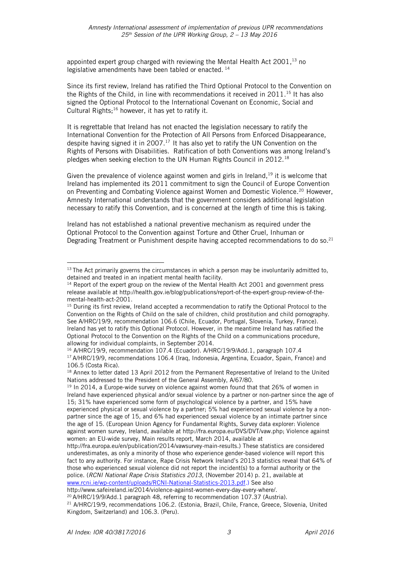appointed expert group charged with reviewing the Mental Health Act 2001, <sup>13</sup> no legislative amendments have been tabled or enacted. <sup>14</sup>

Since its first review, Ireland has ratified the Third Optional Protocol to the Convention on the Rights of the Child, in line with recommendations it received in 2011. <sup>15</sup> It has also signed the Optional Protocol to the International Covenant on Economic, Social and Cultural Rights; $16$  however, it has yet to ratify it.

It is regrettable that Ireland has not enacted the legislation necessary to ratify the International Convention for the Protection of All Persons from Enforced Disappearance, despite having signed it in 2007.<sup>17</sup> It has also yet to ratify the UN Convention on the Rights of Persons with Disabilities. Ratification of both Conventions was among Ireland's pledges when seeking election to the UN Human Rights Council in 2012.<sup>18</sup>

Given the prevalence of violence against women and girls in Ireland,  $19$  it is welcome that Ireland has implemented its 2011 commitment to sign the Council of Europe Convention on Preventing and Combating Violence against Women and Domestic Violence.<sup>20</sup> However, Amnesty International understands that the government considers additional legislation necessary to ratify this Convention, and is concerned at the length of time this is taking.

Ireland has not established a national preventive mechanism as required under the Optional Protocol to the Convention against Torture and Other Cruel, Inhuman or Degrading Treatment or Punishment despite having accepted recommendations to do so.<sup>21</sup>

 $\overline{a}$  $13$  The Act primarily governs the circumstances in which a person may be involuntarily admitted to, detained and treated in an inpatient mental health facility.

 $14$  Report of the expert group on the review of the Mental Health Act 2001 and government press release available at http://health.gov.ie/blog/publications/report-of-the-expert-group-review-of-themental-health-act-2001.

<sup>&</sup>lt;sup>15</sup> During its first review, Ireland accepted a recommendation to ratify the Optional Protocol to the Convention on the Rights of Child on the sale of children, child prostitution and child pornography. See A/HRC/19/9, recommendation 106.6 (Chile, Ecuador, Portugal, Slovenia, Turkey, France). Ireland has yet to ratify this Optional Protocol. However, in the meantime Ireland has ratified the Optional Protocol to the Convention on the Rights of the Child on a communications procedure, allowing for individual complaints, in September 2014.

<sup>16</sup> A/HRC/19/9, recommendation 107.4 (Ecuador). A/HRC/19/9/Add.1, paragraph 107.4 <sup>17</sup> A/HRC/19/9, recommendations 106.4 (Iraq, Indonesia, Argentina, Ecuador, Spain, France) and 106.5 (Costa Rica).

<sup>&</sup>lt;sup>18</sup> Annex to letter dated 13 April 2012 from the Permanent Representative of Ireland to the United Nations addressed to the President of the General Assembly, A/67/80.

<sup>&</sup>lt;sup>19</sup> In 2014, a Europe-wide survey on violence against women found that that 26% of women in Ireland have experienced physical and/or sexual violence by a partner or non-partner since the age of 15; 31% have experienced some form of psychological violence by a partner, and 15% have experienced physical or sexual violence by a partner; 5% had experienced sexual violence by a nonpartner since the age of 15, and 6% had experienced sexual violence by an intimate partner since the age of 15. (European Union Agency for Fundamental Rights, Survey data explorer: Violence against women survey, Ireland, available at http://fra.europa.eu/DVS/DVT/vaw.php; Violence against women: an EU-wide survey, Main results report, March 2014, available at

http://fra.europa.eu/en/publication/2014/vawsurvey-main-results.) These statistics are considered underestimates, as only a minority of those who experience gender-based violence will report this fact to any authority. For instance, Rape Crisis Network Ireland's 2013 statistics reveal that 64% of those who experienced sexual violence did not report the incident(s) to a formal authority or the police. (*RCNI National Rape Crisis Statistics 2013*, (November 2014) p. 21, available at [www.rcni.ie/wp-content/uploads/RCNI-National-Statistics-2013.pdf.](http://www.rcni.ie/wp-content/uploads/RCNI-National-Statistics-2013.pdf)) See also

http://www.safeireland.ie/2014/violence-against-women-every-day-every-where/. <sup>20</sup> A/HRC/19/9/Add.1 paragraph 48, referring to recommendation 107.37 (Austria).

<sup>&</sup>lt;sup>21</sup> A/HRC/19/9, recommendations 106.2. (Estonia, Brazil, Chile, France, Greece, Slovenia, United Kingdom, Switzerland) and 106.3. (Peru).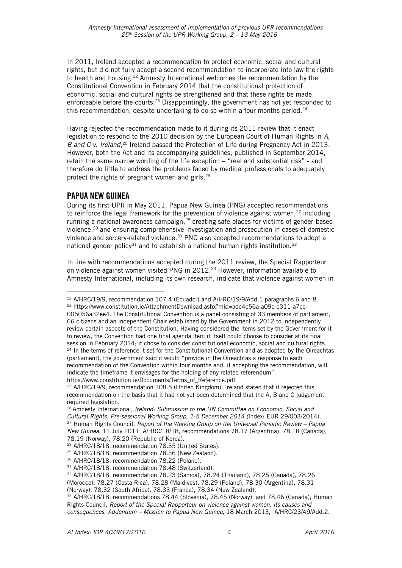In 2011, Ireland accepted a recommendation to protect economic, social and cultural rights, but did not fully accept a second recommendation to incorporate into law the rights to health and housing.<sup>22</sup> Amnesty International welcomes the recommendation by the Constitutional Convention in February 2014 that the constitutional protection of economic, social and cultural rights be strengthened and that these rights be made enforceable before the courts.<sup>23</sup> Disappointingly, the government has not yet responded to this recommendation, despite undertaking to do so within a four months period.<sup>24</sup>

Having rejected the recommendation made to it during its 2011 review that it enact legislation to respond to the 2010 decision by the European Court of Human Rights in *A, B and C v. Ireland*,<sup>25</sup> Ireland passed the Protection of Life during Pregnancy Act in 2013. However, both the Act and its accompanying guidelines, published in September 2014, retain the same narrow wording of the life exception – "real and substantial risk" - and therefore do little to address the problems faced by medical professionals to adequately protect the rights of pregnant women and girls.<sup>26</sup>

## **PAPUA NEW GUINEA**

 $\overline{a}$ 

During its first UPR in May 2011, Papua New Guinea (PNG) accepted recommendations to reinforce the legal framework for the prevention of violence against women, $27$  including running a national awareness campaign,<sup>28</sup> creating safe places for victims of gender-based violence,<sup>29</sup> and ensuring comprehensive investigation and prosecution in cases of domestic violence and sorcery-related violence.<sup>30</sup> PNG also accepted recommendations to adopt a national gender policy<sup>31</sup> and to establish a national human rights institution.<sup>32</sup>

In line with recommendations accepted during the 2011 review, the Special Rapporteur on violence against women visited PNG in  $2012.^{33}$  However, information available to Amnesty International, including its own research, indicate that violence against women in

https://www.constitution.ie/Documents/Terms\_of\_Reference.pdf

 $22$  A/HRC/19/9, recommendation 107.4 (Ecuador) and A/HRC/19/9/Add.1 paragraphs 6 and 8. <sup>23</sup> [https://www.constitution.ie/AttachmentDownload.ashx?mid=adc4c56a-a09c-e311-a7ce-](https://www.constitution.ie/AttachmentDownload.ashx?mid=adc4c56a-a09c-e311-a7ce-005056a32ee4)[005056a32ee4.](https://www.constitution.ie/AttachmentDownload.ashx?mid=adc4c56a-a09c-e311-a7ce-005056a32ee4) The Constitutional Convention is a panel consisting of 33 members of parliament, 66 citizens and an independent Chair established by the Government in 2012 to independently review certain aspects of the Constitution. Having considered the items set by the Government for it to review, the Convention had one final agenda item it itself could choose to consider at its final session in February 2014; it chose to consider constitutional economic, social and cultural rights. <sup>24</sup> In the terms of reference it set for the Constitutional Convention and as adopted by the Oireachtas (parliament), the government said it would "provide in the Oireachtas a response to each recommendation of the Convention within four months and, if accepting the recommendation, will indicate the timeframe it envisages for the holding of any related referendum".

<sup>&</sup>lt;sup>25</sup> A/HRC/19/9, recommendation 108.5 (United Kingdom). Ireland stated that it rejected this recommendation on the basis that it had not yet been determined that the A, B and C judgement required legislation.

<sup>26</sup> Amnesty International*, Ireland: Submission to the UN Committee on Economic, Social and Cultural Rights: Pre-sessional Working Group, 1-5 December 2014 (*Index: EUR 29/003/2014). <sup>27</sup> Human Rights Council, *Report of the Working Group on the Universal Periodic Review – Papua New Guinea*, 11 July 2011, A/HRC/18/18, recommendations 78.17 (Argentina), 78.18 (Canada), 78.19 (Norway), 78.20 (Republic of Korea).

<sup>28</sup> A/HRC/18/18, recommendation 78.35 (United States).

<sup>29</sup> A/HRC/18/18, recommendation 78.36 (New Zealand).

<sup>30</sup> A/HRC/18/18, recommendation 78.22 (Poland).

<sup>31</sup> A/HRC/18/18, recommendation 78.48 (Switzerland).

<sup>32</sup> A/HRC/18/18, recommendation 78.23 (Samoa), 78.24 (Thailand), 78.25 (Canada), 78.26

<sup>(</sup>Morocco), 78.27 (Costa Rica), 78.28 (Maldives), 78.29 (Poland), 78.30 (Argentina), 78.31

<sup>(</sup>Norway), 78.32 (South Africa), 78.33 (France), 78.34 (New Zealand).

<sup>33</sup> A/HRC/18/18, recommendations 78.44 (Slovenia), 78.45 (Norway), and 78.46 (Canada); Human Rights Council, *Report of the Special Rapporteur on violence against women, its causes and consequences, Addendum – Mission to Papua New Guinea*, 18 March 2013, A/HRC/23/49/Add.2.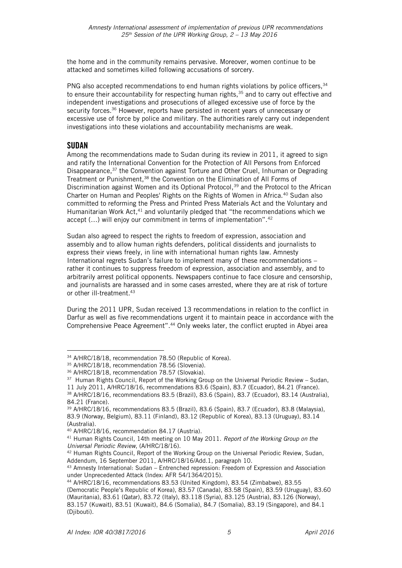the home and in the community remains pervasive. Moreover, women continue to be attacked and sometimes killed following accusations of sorcery.

PNG also accepted recommendations to end human rights violations by police officers, 34 to ensure their accountability for respecting human rights,<sup>35</sup> and to carry out effective and independent investigations and prosecutions of alleged excessive use of force by the security forces.<sup>36</sup> However, reports have persisted in recent years of unnecessary or excessive use of force by police and military. The authorities rarely carry out independent investigations into these violations and accountability mechanisms are weak.

## **SUDAN**

 $\overline{a}$ 

Among the recommendations made to Sudan during its review in 2011, it agreed to sign and ratify the International Convention for the Protection of All Persons from Enforced Disappearance,<sup>37</sup> the Convention against Torture and Other Cruel, Inhuman or Degrading Treatment or Punishment,<sup>38</sup> the Convention on the Elimination of All Forms of Discrimination against Women and its Optional Protocol,<sup>39</sup> and the Protocol to the African Charter on Human and Peoples' Rights on the Rights of Women in Africa.<sup>40</sup> Sudan also committed to reforming the Press and Printed Press Materials Act and the Voluntary and Humanitarian Work Act,<sup>41</sup> and voluntarily pledged that "the recommendations which we accept  $(...)$  will enjoy our commitment in terms of implementation".  $42$ 

Sudan also agreed to respect the rights to freedom of expression, association and assembly and to allow human rights defenders, political dissidents and journalists to express their views freely, in line with international human rights law. Amnesty International regrets Sudan's failure to implement many of these recommendations – rather it continues to suppress freedom of expression, association and assembly, and to arbitrarily arrest political opponents. Newspapers continue to face closure and censorship, and journalists are harassed and in some cases arrested, where they are at risk of torture or other ill-treatment.<sup>43</sup>

During the 2011 UPR, Sudan received 13 recommendations in relation to the conflict in Darfur as well as five recommendations urgent it to maintain peace in accordance with the Comprehensive Peace Agreement".<sup>44</sup> Only weeks later, the conflict erupted in Abyei area

<sup>34</sup> A/HRC/18/18, recommendation 78.50 (Republic of Korea).

<sup>35</sup> A/HRC/18/18, recommendation 78.56 (Slovenia).

<sup>36</sup> A/HRC/18/18, recommendation 78.57 (Slovakia).

<sup>&</sup>lt;sup>37</sup> Human Rights Council, Report of the Working Group on the Universal Periodic Review – Sudan, 11 July 2011, A/HRC/18/16, recommendations 83.6 (Spain), 83.7 (Ecuador), 84.21 (France).

<sup>38</sup> A/HRC/18/16, recommendations 83.5 (Brazil), 83.6 (Spain), 83.7 (Ecuador), 83.14 (Australia), 84.21 (France).

<sup>39</sup> A/HRC/18/16, recommendations 83.5 (Brazil), 83.6 (Spain), 83.7 (Ecuador), 83.8 (Malaysia), 83.9 (Norway, Belgium), 83.11 (Finland), 83.12 (Republic of Korea), 83.13 (Uruguay), 83.14 (Australia).

<sup>40</sup> A/HRC/18/16, recommendation 84.17 (Austria).

<sup>41</sup> Human Rights Council, 14th meeting on 10 May 2011. *Report of the Working Group on the Universal Periodic Review*, (A/HRC/18/16).

<sup>42</sup> Human Rights Council, Report of the Working Group on the Universal Periodic Review, Sudan, Addendum, 16 September 2011, A/HRC/18/16/Add.1, paragraph 10.

<sup>43</sup> Amnesty International: Sudan – Entrenched repression: Freedom of Expression and Association under Unprecedented Attack (Index: AFR 54/1364/2015).

<sup>44</sup> A/HRC/18/16, recommendations 83.53 (United Kingdom), 83.54 (Zimbabwe), 83.55

<sup>(</sup>Democratic People's Republic of Korea), 83.57 (Canada), 83.58 (Spain), 83.59 (Uruguay), 83.60 (Mauritania), 83.61 (Qatar), 83.72 (Italy), 83.118 (Syria), 83.125 (Austria), 83.126 (Norway), 83.157 (Kuwait), 83.51 (Kuwait), 84.6 (Somalia), 84.7 (Somalia), 83.19 (Singapore), and 84.1 (Djibouti).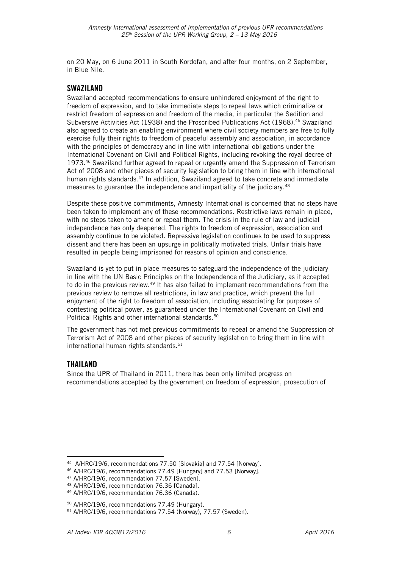on 20 May, on 6 June 2011 in South Kordofan, and after four months, on 2 September, in Blue Nile.

## **SWAZILAND**

Swaziland accepted recommendations to ensure unhindered enjoyment of the right to freedom of expression, and to take immediate steps to repeal laws which criminalize or restrict freedom of expression and freedom of the media, in particular the Sedition and Subversive Activities Act (1938) and the Proscribed Publications Act (1968).<sup>45</sup> Swaziland also agreed to create an enabling environment where civil society members are free to fully exercise fully their rights to freedom of peaceful assembly and association, in accordance with the principles of democracy and in line with international obligations under the International Covenant on Civil and Political Rights, including revoking the royal decree of 1973.<sup>46</sup> Swaziland further agreed to repeal or urgently amend the Suppression of Terrorism Act of 2008 and other pieces of security legislation to bring them in line with international human rights standards.<sup>47</sup> In addition, Swaziland agreed to take concrete and immediate measures to guarantee the independence and impartiality of the judiciary.<sup>48</sup>

Despite these positive commitments, Amnesty International is concerned that no steps have been taken to implement any of these recommendations. Restrictive laws remain in place, with no steps taken to amend or repeal them. The crisis in the rule of law and judicial independence has only deepened. The rights to freedom of expression, association and assembly continue to be violated. Repressive legislation continues to be used to suppress dissent and there has been an upsurge in politically motivated trials. Unfair trials have resulted in people being imprisoned for reasons of opinion and conscience.

Swaziland is yet to put in place measures to safeguard the independence of the judiciary in line with the UN Basic Principles on the Independence of the Judiciary, as it accepted to do in the previous review.<sup>49</sup> It has also failed to implement recommendations from the previous review to remove all restrictions, in law and practice, which prevent the full enjoyment of the right to freedom of association, including associating for purposes of contesting political power, as guaranteed under the International Covenant on Civil and Political Rights and other international standards. 50

The government has not met previous commitments to repeal or amend the Suppression of Terrorism Act of 2008 and other pieces of security legislation to bring them in line with international human rights standards. 51

#### **THAILAND**

 $\overline{a}$ 

Since the UPR of Thailand in 2011, there has been only limited progress on recommendations accepted by the government on freedom of expression, prosecution of

<sup>45</sup> A/HRC/19/6, recommendations 77.50 [Slovakia] and 77.54 [Norway].

<sup>46</sup> A/HRC/19/6, recommendations 77.49 [Hungary] and 77.53 [Norway].

<sup>47</sup> A/HRC/19/6, recommendation 77.57 [Sweden].

<sup>48</sup> A/HRC/19/6, recommendation 76.36 [Canada].

<sup>49</sup> A/HRC/19/6, recommendation 76.36 (Canada).

<sup>50</sup> A/HRC/19/6, recommendations 77.49 (Hungary).

<sup>51</sup> A/HRC/19/6, recommendations 77.54 (Norway), 77.57 (Sweden).